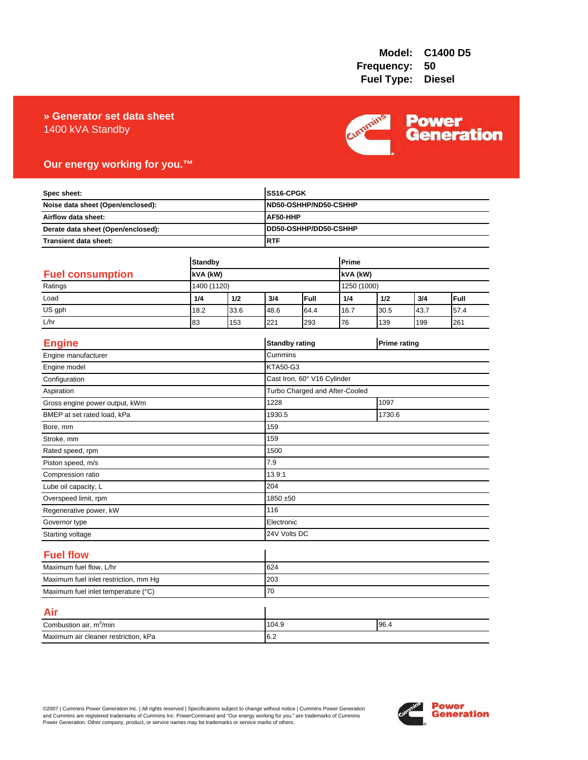### **» Generator set data sheet** 1400 kVA Standby



### **Our energy working for you.™**

| Spec sheet:<br>Noise data sheet (Open/enclosed):<br>Airflow data sheet:<br>Derate data sheet (Open/enclosed): |                                           |      |                       | SS16-CPGK<br>ND50-OSHHP/ND50-CSHHP |       |                     |      |      |
|---------------------------------------------------------------------------------------------------------------|-------------------------------------------|------|-----------------------|------------------------------------|-------|---------------------|------|------|
|                                                                                                               |                                           |      |                       |                                    |       |                     |      |      |
|                                                                                                               |                                           |      | AF50-HHP              |                                    |       |                     |      |      |
|                                                                                                               |                                           |      |                       | DD50-OSHHP/DD50-CSHHP              |       |                     |      |      |
| Transient data sheet:                                                                                         |                                           |      | <b>RTF</b>            |                                    |       |                     |      |      |
|                                                                                                               |                                           |      |                       |                                    | Prime |                     |      |      |
|                                                                                                               | <b>Standby</b><br>kVA (kW)<br>1400 (1120) |      |                       |                                    |       |                     |      |      |
| <b>Fuel consumption</b>                                                                                       |                                           |      |                       | kVA (kW)                           |       |                     |      |      |
| Ratings                                                                                                       |                                           |      |                       |                                    |       | 1250 (1000)         |      |      |
| Load                                                                                                          | 1/4                                       | 1/2  | 3/4                   | Full                               | 1/4   | 1/2                 | 3/4  | Full |
| US gph                                                                                                        | 18.2                                      | 33.6 | 48.6                  | 64.4                               | 16.7  | 30.5                | 43.7 | 57.4 |
| L/hr                                                                                                          | 83                                        | 153  | 221                   | 293                                | 76    | 139                 | 199  | 261  |
| <b>Engine</b>                                                                                                 |                                           |      | <b>Standby rating</b> |                                    |       | <b>Prime rating</b> |      |      |
| Engine manufacturer                                                                                           |                                           |      | Cummins               |                                    |       |                     |      |      |
| Engine model                                                                                                  |                                           |      | KTA50-G3              |                                    |       |                     |      |      |
| Configuration                                                                                                 |                                           |      |                       | Cast Iron, 60° V16 Cylinder        |       |                     |      |      |
| Aspiration                                                                                                    |                                           |      |                       | Turbo Charged and After-Cooled     |       |                     |      |      |
| Gross engine power output, kWm                                                                                |                                           |      | 1228                  | 1097                               |       |                     |      |      |
| BMEP at set rated load, kPa                                                                                   |                                           |      | 1930.5                | 1730.6                             |       |                     |      |      |
| Bore, mm                                                                                                      |                                           |      | 159                   |                                    |       |                     |      |      |
| Stroke, mm                                                                                                    |                                           |      | 159                   |                                    |       |                     |      |      |
| Rated speed, rpm                                                                                              |                                           |      | 1500                  |                                    |       |                     |      |      |
| Piston speed, m/s                                                                                             |                                           |      | 7.9                   |                                    |       |                     |      |      |
| Compression ratio                                                                                             |                                           |      | 13.9:1                |                                    |       |                     |      |      |
| Lube oil capacity, L                                                                                          |                                           |      | 204                   |                                    |       |                     |      |      |
| Overspeed limit, rpm                                                                                          |                                           |      |                       | 1850 ±50                           |       |                     |      |      |
| Regenerative power, kW                                                                                        |                                           |      | 116                   |                                    |       |                     |      |      |
| Governor type                                                                                                 |                                           |      |                       | Electronic                         |       |                     |      |      |
| Starting voltage                                                                                              |                                           |      | 24V Volts DC          |                                    |       |                     |      |      |
| <b>Fuel flow</b>                                                                                              |                                           |      |                       |                                    |       |                     |      |      |
| Maximum fuel flow, L/hr                                                                                       |                                           |      | 624                   |                                    |       |                     |      |      |
| Maximum fuel inlet restriction, mm Hg                                                                         |                                           |      | 203                   |                                    |       |                     |      |      |
| Maximum fuel inlet temperature (°C)                                                                           |                                           | 70   |                       |                                    |       |                     |      |      |
| Air                                                                                                           |                                           |      |                       |                                    |       |                     |      |      |
| Combustion air, m <sup>3</sup> /min                                                                           |                                           |      | 104.9                 | 96.4                               |       |                     |      |      |
| Maximum air cleaner restriction, kPa                                                                          |                                           |      | 6.2                   |                                    |       |                     |      |      |

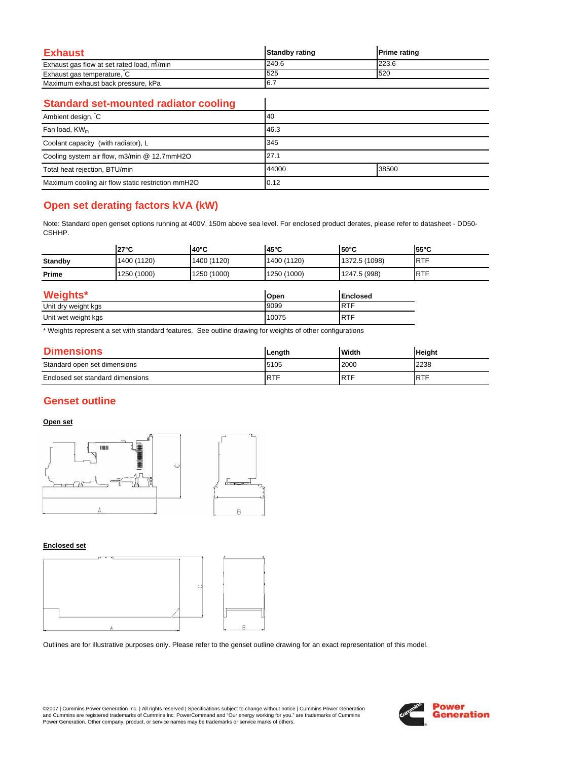| <b>Exhaust</b>                            | <b>Standby rating</b> | <b>Prime rating</b> |
|-------------------------------------------|-----------------------|---------------------|
| Exhaust gas flow at set rated load, m/min | 240.6                 | 223.6               |
| Exhaust gas temperature, C                | 525                   | 520                 |
| Maximum exhaust back pressure, kPa        | 16.7                  |                     |

 $\overline{\phantom{a}}$ 

### **Standard set-mounted radiator cooling**

| Ambient design, C                                 | 40ء            |  |  |
|---------------------------------------------------|----------------|--|--|
| Fan load, KW <sub>m</sub>                         | 46.3           |  |  |
| Coolant capacity (with radiator), L               | 345            |  |  |
| Cooling system air flow, m3/min @ 12.7mmH2O       | 27.1           |  |  |
| Total heat rejection, BTU/min                     | 38500<br>44000 |  |  |
| Maximum cooling air flow static restriction mmH2O | 0.12           |  |  |

## **Open set derating factors kVA (kW)**

Note: Standard open genset options running at 400V, 150m above sea level. For enclosed product derates, please refer to datasheet - DD50- CSHHP.

|                | $27^{\circ}$ C | 140°C       | 145°C       | $50^{\circ}$ C  | 55°C       |
|----------------|----------------|-------------|-------------|-----------------|------------|
| <b>Standby</b> | 1400 (1120)    | 1400 (1120) | 1400 (1120) | 1372.5 (1098)   | <b>RTF</b> |
| Prime          | 1250 (1000)    | 1250 (1000) | 1250 (1000) | 1247.5 (998)    | <b>RTF</b> |
| Weights*       |                |             | Open        | <b>Enclosed</b> |            |

| <b>weights</b>      | Open  | <b>Enclosed</b> |
|---------------------|-------|-----------------|
| Unit dry weight kgs | 9099  | <b>RTF</b>      |
| Unit wet weight kgs | 10075 | <b>RTF</b>      |

\* Weights represent a set with standard features. See outline drawing for weights of other configurations

| <b>Dimensions</b>                | Length | <b>Width</b> | Height     |
|----------------------------------|--------|--------------|------------|
| Standard open set dimensions     | 5105   | 2000         | 2238       |
| Enclosed set standard dimensions | RTF    | <b>IRTF</b>  | <b>RTF</b> |

## **Genset outline**

### **Open set**



#### **Enclosed set**



Outlines are for illustrative purposes only. Please refer to the genset outline drawing for an exact representation of this model.

©2007 | Cummins Power Generation Inc. | All rights reserved | Specifications subject to change without notice | Cummins Power Generation and Cummins are registered trademarks of Cummins Inc. PowerCommand and "Our energy working for you." are trademarks of Cummins<br>Power Generation. Other company, product, or service names may be trademarks or service marks o